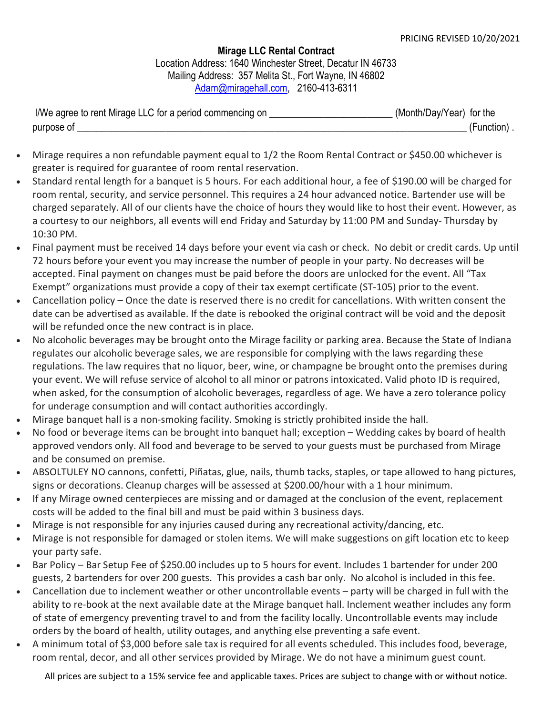Mirage LLC Rental Contract Location Address: 1640 Winchester Street, Decatur IN 46733 Mailing Address: 357 Melita St., Fort Wayne, IN 46802 Adam@miragehall.com, 2160-413-6311

| I/We agree to rent Mirage LLC for a period commencing on | (Month/Day/Year) for the |
|----------------------------------------------------------|--------------------------|
| purpose of                                               | (Function).              |

- Mirage requires a non refundable payment equal to 1/2 the Room Rental Contract or \$450.00 whichever is greater is required for guarantee of room rental reservation.
- Standard rental length for a banquet is 5 hours. For each additional hour, a fee of \$190.00 will be charged for room rental, security, and service personnel. This requires a 24 hour advanced notice. Bartender use will be charged separately. All of our clients have the choice of hours they would like to host their event. However, as a courtesy to our neighbors, all events will end Friday and Saturday by 11:00 PM and Sunday- Thursday by 10:30 PM.
- Final payment must be received 14 days before your event via cash or check. No debit or credit cards. Up until 72 hours before your event you may increase the number of people in your party. No decreases will be accepted. Final payment on changes must be paid before the doors are unlocked for the event. All "Tax Exempt" organizations must provide a copy of their tax exempt certificate (ST-105) prior to the event.
- Cancellation policy Once the date is reserved there is no credit for cancellations. With written consent the date can be advertised as available. If the date is rebooked the original contract will be void and the deposit will be refunded once the new contract is in place.
- No alcoholic beverages may be brought onto the Mirage facility or parking area. Because the State of Indiana regulates our alcoholic beverage sales, we are responsible for complying with the laws regarding these regulations. The law requires that no liquor, beer, wine, or champagne be brought onto the premises during your event. We will refuse service of alcohol to all minor or patrons intoxicated. Valid photo ID is required, when asked, for the consumption of alcoholic beverages, regardless of age. We have a zero tolerance policy for underage consumption and will contact authorities accordingly.
- Mirage banquet hall is a non-smoking facility. Smoking is strictly prohibited inside the hall.
- No food or beverage items can be brought into banquet hall; exception Wedding cakes by board of health approved vendors only. All food and beverage to be served to your guests must be purchased from Mirage and be consumed on premise.
- ABSOLTULEY NO cannons, confetti, Piñatas, glue, nails, thumb tacks, staples, or tape allowed to hang pictures, signs or decorations. Cleanup charges will be assessed at \$200.00/hour with a 1 hour minimum.
- If any Mirage owned centerpieces are missing and or damaged at the conclusion of the event, replacement costs will be added to the final bill and must be paid within 3 business days.
- Mirage is not responsible for any injuries caused during any recreational activity/dancing, etc.
- Mirage is not responsible for damaged or stolen items. We will make suggestions on gift location etc to keep your party safe.
- Bar Policy Bar Setup Fee of \$250.00 includes up to 5 hours for event. Includes 1 bartender for under 200 guests, 2 bartenders for over 200 guests. This provides a cash bar only. No alcohol is included in this fee.
- Cancellation due to inclement weather or other uncontrollable events party will be charged in full with the ability to re-book at the next available date at the Mirage banquet hall. Inclement weather includes any form of state of emergency preventing travel to and from the facility locally. Uncontrollable events may include orders by the board of health, utility outages, and anything else preventing a safe event.
- A minimum total of \$3,000 before sale tax is required for all events scheduled. This includes food, beverage, room rental, decor, and all other services provided by Mirage. We do not have a minimum guest count.

All prices are subject to a 15% service fee and applicable taxes. Prices are subject to change with or without notice.